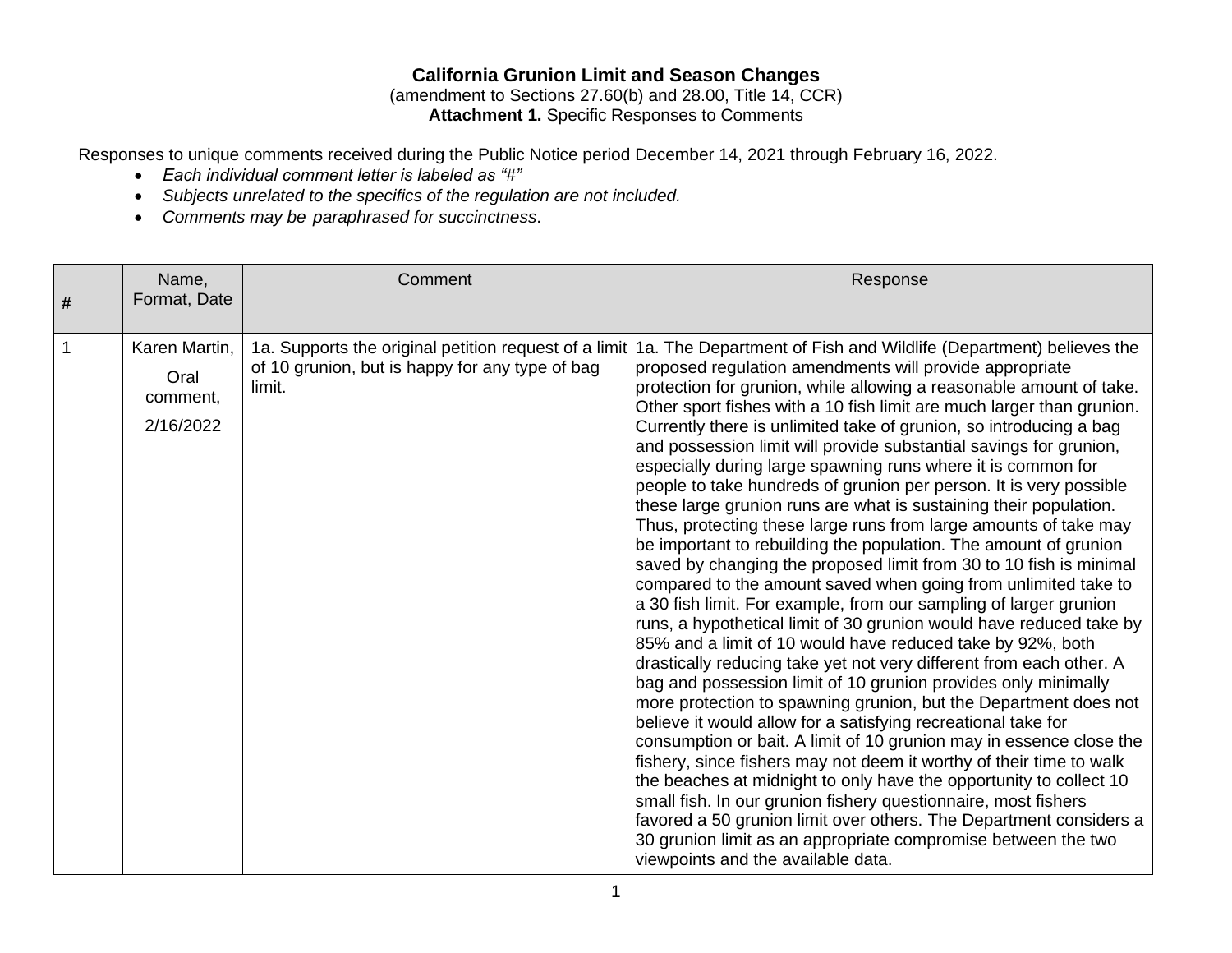# **California Grunion Limit and Season Changes**

(amendment to Sections 27.60(b) and 28.00, Title 14, CCR) **Attachment 1.** Specific Responses to Comments

Responses to unique comments received during the Public Notice period December 14, 2021 through February 16, 2022.

- *Each individual comment letter is labeled as "#"*
- *Subjects unrelated to the specifics of the regulation are not included.*
- *Comments may be paraphrased for succinctness*.

| # | Name,<br>Format, Date                          | Comment                                                                                                            | Response                                                                                                                                                                                                                                                                                                                                                                                                                                                                                                                                                                                                                                                                                                                                                                                                                                                                                                                                                                                                                                                                                                                                                                                                                                                                                                                                                                                                                                                                                                                                                                                                                                                                                                                                                                                                                                                                       |
|---|------------------------------------------------|--------------------------------------------------------------------------------------------------------------------|--------------------------------------------------------------------------------------------------------------------------------------------------------------------------------------------------------------------------------------------------------------------------------------------------------------------------------------------------------------------------------------------------------------------------------------------------------------------------------------------------------------------------------------------------------------------------------------------------------------------------------------------------------------------------------------------------------------------------------------------------------------------------------------------------------------------------------------------------------------------------------------------------------------------------------------------------------------------------------------------------------------------------------------------------------------------------------------------------------------------------------------------------------------------------------------------------------------------------------------------------------------------------------------------------------------------------------------------------------------------------------------------------------------------------------------------------------------------------------------------------------------------------------------------------------------------------------------------------------------------------------------------------------------------------------------------------------------------------------------------------------------------------------------------------------------------------------------------------------------------------------|
|   | Karen Martin,<br>Oral<br>comment,<br>2/16/2022 | 1a. Supports the original petition request of a limit<br>of 10 grunion, but is happy for any type of bag<br>limit. | 1a. The Department of Fish and Wildlife (Department) believes the<br>proposed regulation amendments will provide appropriate<br>protection for grunion, while allowing a reasonable amount of take.<br>Other sport fishes with a 10 fish limit are much larger than grunion.<br>Currently there is unlimited take of grunion, so introducing a bag<br>and possession limit will provide substantial savings for grunion,<br>especially during large spawning runs where it is common for<br>people to take hundreds of grunion per person. It is very possible<br>these large grunion runs are what is sustaining their population.<br>Thus, protecting these large runs from large amounts of take may<br>be important to rebuilding the population. The amount of grunion<br>saved by changing the proposed limit from 30 to 10 fish is minimal<br>compared to the amount saved when going from unlimited take to<br>a 30 fish limit. For example, from our sampling of larger grunion<br>runs, a hypothetical limit of 30 grunion would have reduced take by<br>85% and a limit of 10 would have reduced take by 92%, both<br>drastically reducing take yet not very different from each other. A<br>bag and possession limit of 10 grunion provides only minimally<br>more protection to spawning grunion, but the Department does not<br>believe it would allow for a satisfying recreational take for<br>consumption or bait. A limit of 10 grunion may in essence close the<br>fishery, since fishers may not deem it worthy of their time to walk<br>the beaches at midnight to only have the opportunity to collect 10<br>small fish. In our grunion fishery questionnaire, most fishers<br>favored a 50 grunion limit over others. The Department considers a<br>30 grunion limit as an appropriate compromise between the two<br>viewpoints and the available data. |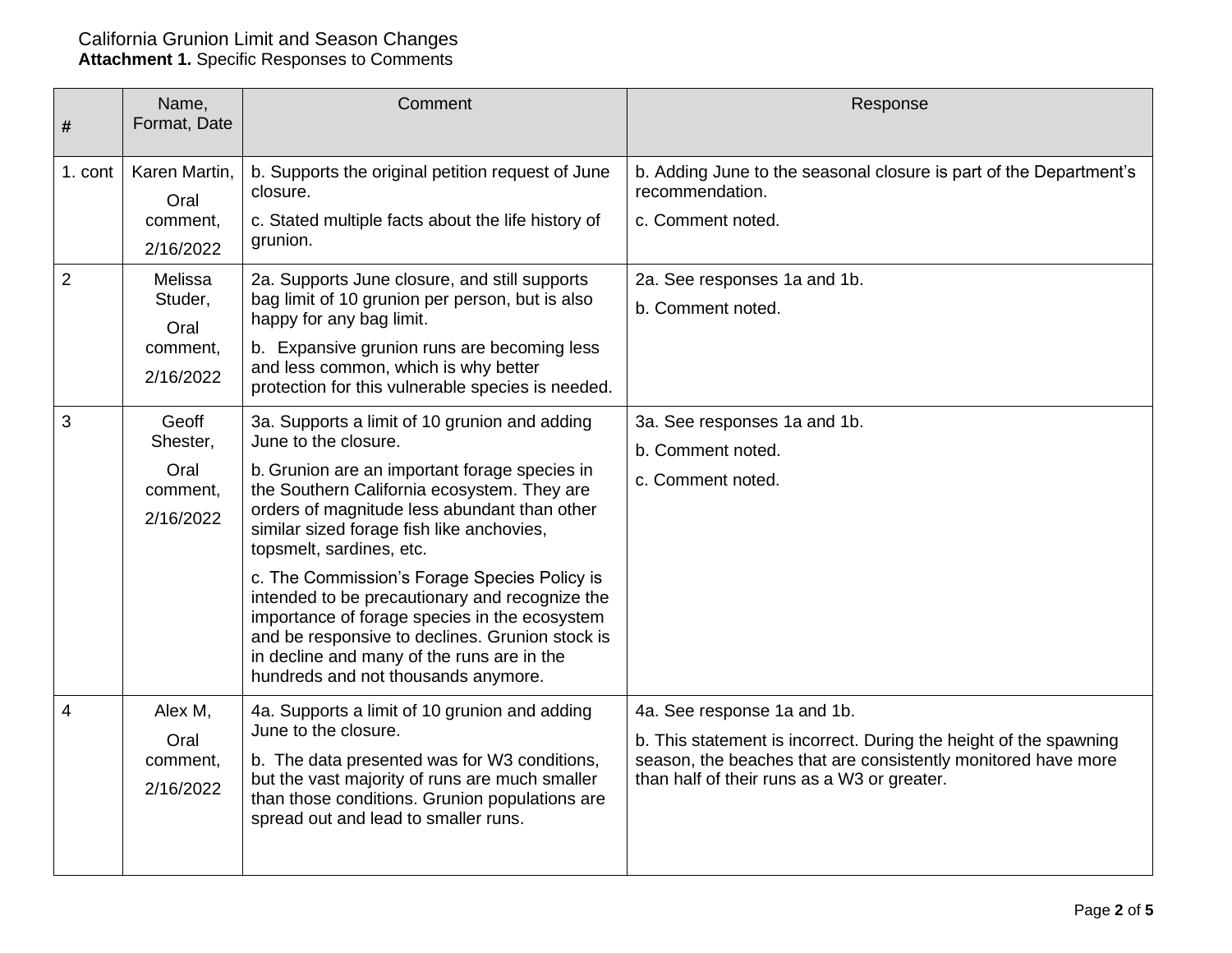| #              | Name,<br>Format, Date                               | Comment                                                                                                                                                                                                                                                                                                                                                                                                                                                                                                                                                                                   | Response                                                                                                                                                                                                         |
|----------------|-----------------------------------------------------|-------------------------------------------------------------------------------------------------------------------------------------------------------------------------------------------------------------------------------------------------------------------------------------------------------------------------------------------------------------------------------------------------------------------------------------------------------------------------------------------------------------------------------------------------------------------------------------------|------------------------------------------------------------------------------------------------------------------------------------------------------------------------------------------------------------------|
| 1. cont        | Karen Martin,<br>Oral<br>comment,<br>2/16/2022      | b. Supports the original petition request of June<br>closure.<br>c. Stated multiple facts about the life history of<br>grunion.                                                                                                                                                                                                                                                                                                                                                                                                                                                           | b. Adding June to the seasonal closure is part of the Department's<br>recommendation.<br>c. Comment noted.                                                                                                       |
| $\overline{2}$ | Melissa<br>Studer,<br>Oral<br>comment,<br>2/16/2022 | 2a. Supports June closure, and still supports<br>bag limit of 10 grunion per person, but is also<br>happy for any bag limit.<br>b. Expansive grunion runs are becoming less<br>and less common, which is why better<br>protection for this vulnerable species is needed.                                                                                                                                                                                                                                                                                                                  | 2a. See responses 1a and 1b.<br>b. Comment noted.                                                                                                                                                                |
| 3              | Geoff<br>Shester,<br>Oral<br>comment,<br>2/16/2022  | 3a. Supports a limit of 10 grunion and adding<br>June to the closure.<br>b. Grunion are an important forage species in<br>the Southern California ecosystem. They are<br>orders of magnitude less abundant than other<br>similar sized forage fish like anchovies,<br>topsmelt, sardines, etc.<br>c. The Commission's Forage Species Policy is<br>intended to be precautionary and recognize the<br>importance of forage species in the ecosystem<br>and be responsive to declines. Grunion stock is<br>in decline and many of the runs are in the<br>hundreds and not thousands anymore. | 3a. See responses 1a and 1b.<br>b. Comment noted.<br>c. Comment noted.                                                                                                                                           |
| 4              | Alex M,<br>Oral<br>comment,<br>2/16/2022            | 4a. Supports a limit of 10 grunion and adding<br>June to the closure.<br>b. The data presented was for W3 conditions,<br>but the vast majority of runs are much smaller<br>than those conditions. Grunion populations are<br>spread out and lead to smaller runs.                                                                                                                                                                                                                                                                                                                         | 4a. See response 1a and 1b.<br>b. This statement is incorrect. During the height of the spawning<br>season, the beaches that are consistently monitored have more<br>than half of their runs as a W3 or greater. |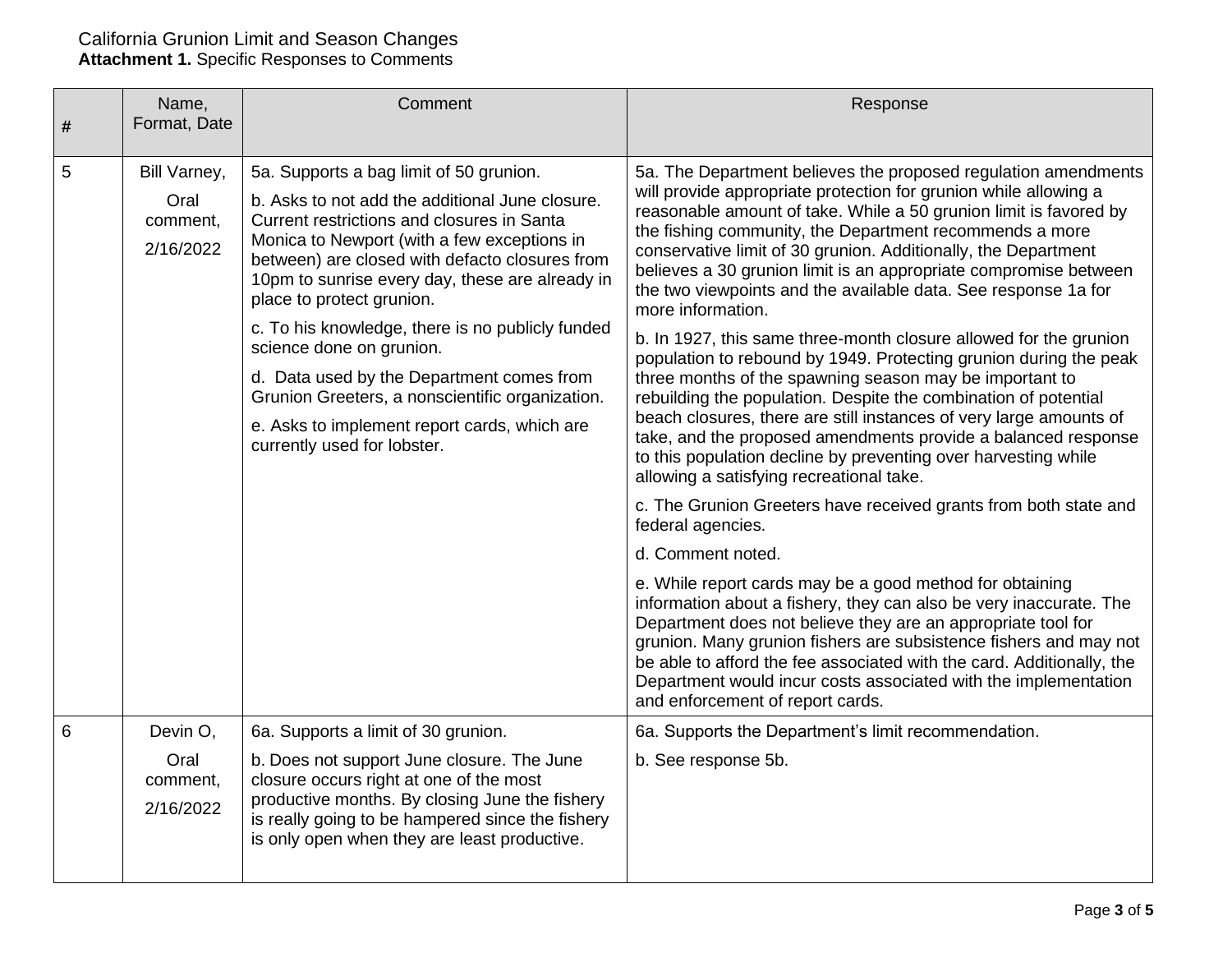| # | Name,<br>Format, Date         | Comment                                                                                                                                                                                                                                                                        | Response                                                                                                                                                                                                                                                                                                                                                                                                                                                                                                                                                                                                                                                                                                                                                                                                                                                                                                                                                   |
|---|-------------------------------|--------------------------------------------------------------------------------------------------------------------------------------------------------------------------------------------------------------------------------------------------------------------------------|------------------------------------------------------------------------------------------------------------------------------------------------------------------------------------------------------------------------------------------------------------------------------------------------------------------------------------------------------------------------------------------------------------------------------------------------------------------------------------------------------------------------------------------------------------------------------------------------------------------------------------------------------------------------------------------------------------------------------------------------------------------------------------------------------------------------------------------------------------------------------------------------------------------------------------------------------------|
|   |                               |                                                                                                                                                                                                                                                                                |                                                                                                                                                                                                                                                                                                                                                                                                                                                                                                                                                                                                                                                                                                                                                                                                                                                                                                                                                            |
| 5 | Bill Varney,                  | 5a. Supports a bag limit of 50 grunion.                                                                                                                                                                                                                                        | 5a. The Department believes the proposed regulation amendments                                                                                                                                                                                                                                                                                                                                                                                                                                                                                                                                                                                                                                                                                                                                                                                                                                                                                             |
|   | Oral<br>comment,<br>2/16/2022 | b. Asks to not add the additional June closure.<br>Current restrictions and closures in Santa<br>Monica to Newport (with a few exceptions in<br>between) are closed with defacto closures from<br>10pm to sunrise every day, these are already in<br>place to protect grunion. | will provide appropriate protection for grunion while allowing a<br>reasonable amount of take. While a 50 grunion limit is favored by<br>the fishing community, the Department recommends a more<br>conservative limit of 30 grunion. Additionally, the Department<br>believes a 30 grunion limit is an appropriate compromise between<br>the two viewpoints and the available data. See response 1a for<br>more information.<br>b. In 1927, this same three-month closure allowed for the grunion<br>population to rebound by 1949. Protecting grunion during the peak<br>three months of the spawning season may be important to<br>rebuilding the population. Despite the combination of potential<br>beach closures, there are still instances of very large amounts of<br>take, and the proposed amendments provide a balanced response<br>to this population decline by preventing over harvesting while<br>allowing a satisfying recreational take. |
|   |                               | c. To his knowledge, there is no publicly funded<br>science done on grunion.                                                                                                                                                                                                   |                                                                                                                                                                                                                                                                                                                                                                                                                                                                                                                                                                                                                                                                                                                                                                                                                                                                                                                                                            |
|   |                               | d. Data used by the Department comes from<br>Grunion Greeters, a nonscientific organization.                                                                                                                                                                                   |                                                                                                                                                                                                                                                                                                                                                                                                                                                                                                                                                                                                                                                                                                                                                                                                                                                                                                                                                            |
|   |                               | e. Asks to implement report cards, which are<br>currently used for lobster.                                                                                                                                                                                                    |                                                                                                                                                                                                                                                                                                                                                                                                                                                                                                                                                                                                                                                                                                                                                                                                                                                                                                                                                            |
|   |                               |                                                                                                                                                                                                                                                                                | c. The Grunion Greeters have received grants from both state and<br>federal agencies.                                                                                                                                                                                                                                                                                                                                                                                                                                                                                                                                                                                                                                                                                                                                                                                                                                                                      |
|   |                               |                                                                                                                                                                                                                                                                                | d. Comment noted.                                                                                                                                                                                                                                                                                                                                                                                                                                                                                                                                                                                                                                                                                                                                                                                                                                                                                                                                          |
|   |                               |                                                                                                                                                                                                                                                                                | e. While report cards may be a good method for obtaining<br>information about a fishery, they can also be very inaccurate. The<br>Department does not believe they are an appropriate tool for<br>grunion. Many grunion fishers are subsistence fishers and may not<br>be able to afford the fee associated with the card. Additionally, the<br>Department would incur costs associated with the implementation<br>and enforcement of report cards.                                                                                                                                                                                                                                                                                                                                                                                                                                                                                                        |
| 6 | Devin O,                      | 6a. Supports a limit of 30 grunion.                                                                                                                                                                                                                                            | 6a. Supports the Department's limit recommendation.                                                                                                                                                                                                                                                                                                                                                                                                                                                                                                                                                                                                                                                                                                                                                                                                                                                                                                        |
|   | Oral<br>comment,<br>2/16/2022 | b. Does not support June closure. The June<br>closure occurs right at one of the most<br>productive months. By closing June the fishery<br>is really going to be hampered since the fishery<br>is only open when they are least productive.                                    | b. See response 5b.                                                                                                                                                                                                                                                                                                                                                                                                                                                                                                                                                                                                                                                                                                                                                                                                                                                                                                                                        |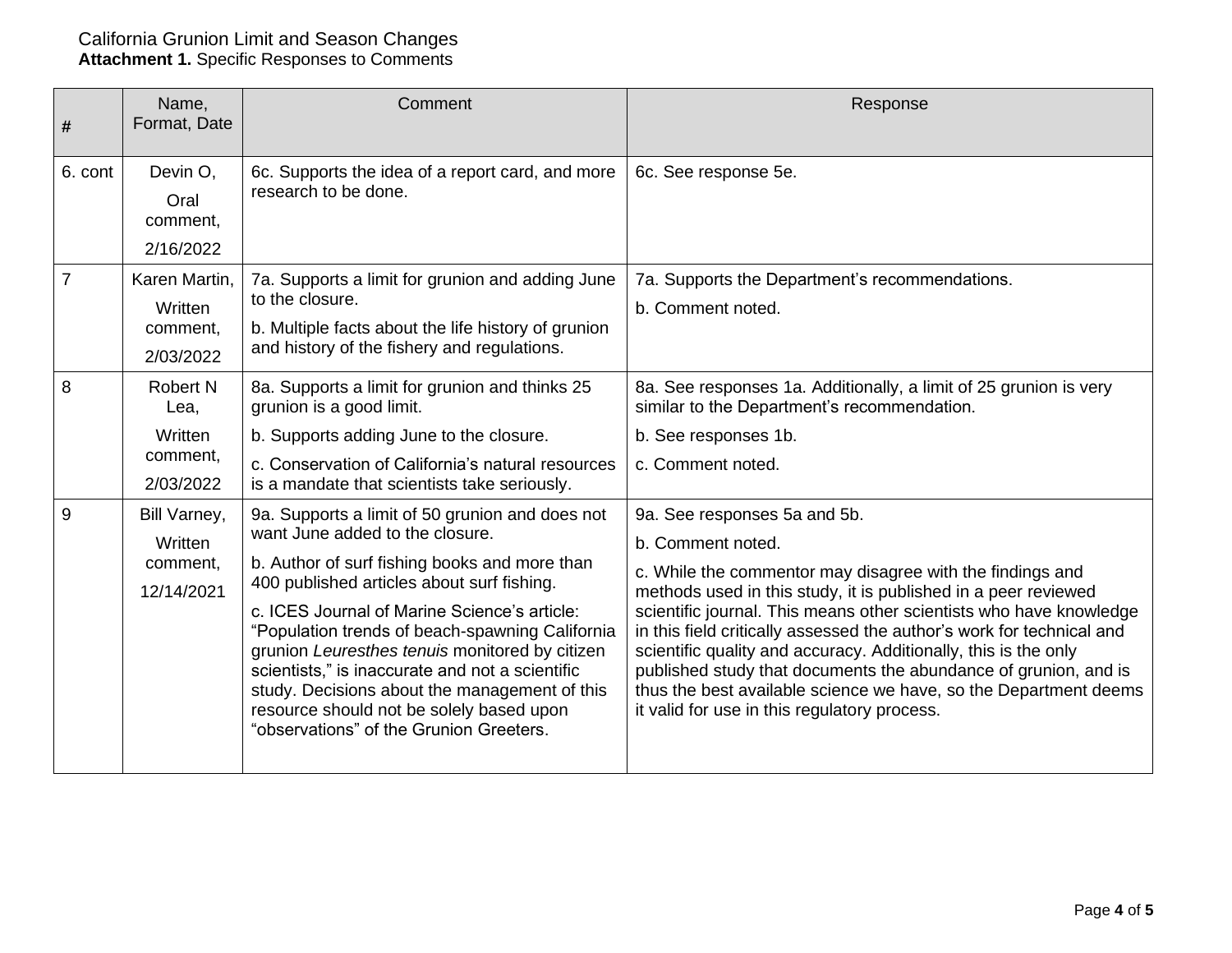| #              | Name,<br>Format, Date                                       | Comment                                                                                                                                                                                                                                                                                                                                                                                                                                                                                                                           | Response                                                                                                                                                                                                                                                                                                                                                                                                                                                                                                                                                                                  |
|----------------|-------------------------------------------------------------|-----------------------------------------------------------------------------------------------------------------------------------------------------------------------------------------------------------------------------------------------------------------------------------------------------------------------------------------------------------------------------------------------------------------------------------------------------------------------------------------------------------------------------------|-------------------------------------------------------------------------------------------------------------------------------------------------------------------------------------------------------------------------------------------------------------------------------------------------------------------------------------------------------------------------------------------------------------------------------------------------------------------------------------------------------------------------------------------------------------------------------------------|
| 6. cont        | Devin O,<br>Oral<br>comment,<br>2/16/2022                   | 6c. Supports the idea of a report card, and more<br>research to be done.                                                                                                                                                                                                                                                                                                                                                                                                                                                          | 6c. See response 5e.                                                                                                                                                                                                                                                                                                                                                                                                                                                                                                                                                                      |
| $\overline{7}$ | Karen Martin,<br>Written<br>comment,<br>2/03/2022           | 7a. Supports a limit for grunion and adding June<br>to the closure.<br>b. Multiple facts about the life history of grunion<br>and history of the fishery and regulations.                                                                                                                                                                                                                                                                                                                                                         | 7a. Supports the Department's recommendations.<br>b. Comment noted.                                                                                                                                                                                                                                                                                                                                                                                                                                                                                                                       |
| 8              | <b>Robert N</b><br>Lea,<br>Written<br>comment,<br>2/03/2022 | 8a. Supports a limit for grunion and thinks 25<br>grunion is a good limit.<br>b. Supports adding June to the closure.<br>c. Conservation of California's natural resources<br>is a mandate that scientists take seriously.                                                                                                                                                                                                                                                                                                        | 8a. See responses 1a. Additionally, a limit of 25 grunion is very<br>similar to the Department's recommendation.<br>b. See responses 1b.<br>c. Comment noted.                                                                                                                                                                                                                                                                                                                                                                                                                             |
| 9              | Bill Varney,<br>Written<br>comment,<br>12/14/2021           | 9a. Supports a limit of 50 grunion and does not<br>want June added to the closure.<br>b. Author of surf fishing books and more than<br>400 published articles about surf fishing.<br>c. ICES Journal of Marine Science's article:<br>"Population trends of beach-spawning California<br>grunion Leuresthes tenuis monitored by citizen<br>scientists," is inaccurate and not a scientific<br>study. Decisions about the management of this<br>resource should not be solely based upon<br>"observations" of the Grunion Greeters. | 9a. See responses 5a and 5b.<br>b. Comment noted.<br>c. While the commentor may disagree with the findings and<br>methods used in this study, it is published in a peer reviewed<br>scientific journal. This means other scientists who have knowledge<br>in this field critically assessed the author's work for technical and<br>scientific quality and accuracy. Additionally, this is the only<br>published study that documents the abundance of grunion, and is<br>thus the best available science we have, so the Department deems<br>it valid for use in this regulatory process. |